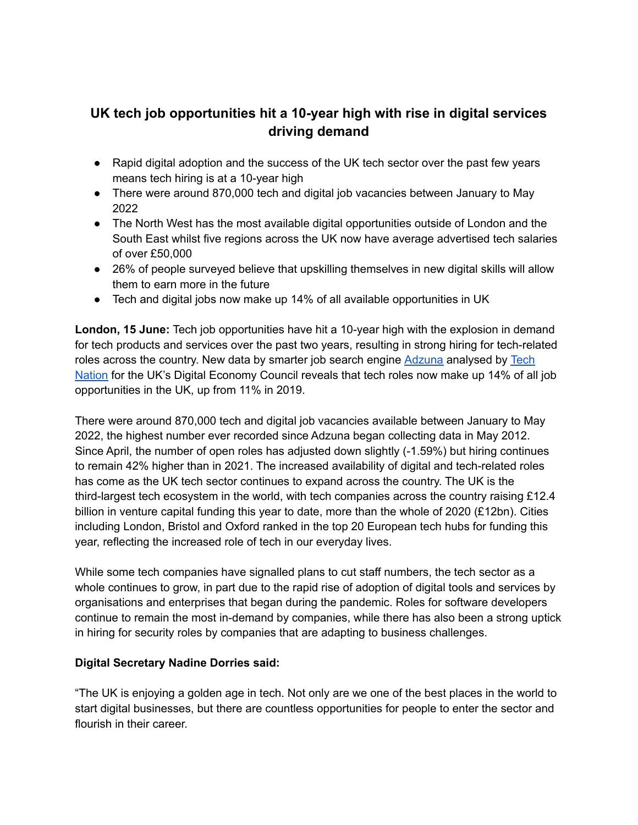# **UK tech job opportunities hit a 10-year high with rise in digital services driving demand**

- Rapid digital adoption and the success of the UK tech sector over the past few years means tech hiring is at a 10-year high
- There were around 870,000 tech and digital job vacancies between January to May 2022
- The North West has the most available digital opportunities outside of London and the South East whilst five regions across the UK now have average advertised tech salaries of over £50,000
- 26% of people surveyed believe that upskilling themselves in new digital skills will allow them to earn more in the future
- Tech and digital jobs now make up 14% of all available opportunities in UK

**London, 15 June:** Tech job opportunities have hit a 10-year high with the explosion in demand for tech products and services over the past two years, resulting in strong hiring for tech-related roles across the country. New data by smarter job search engine [Adzuna](https://www.adzuna.co.uk/) analysed by [Tech](https://technation.io/) [Nation](https://technation.io/) for the UK's Digital Economy Council reveals that tech roles now make up 14% of all job opportunities in the UK, up from 11% in 2019.

There were around 870,000 tech and digital job vacancies available between January to May 2022, the highest number ever recorded since Adzuna began collecting data in May 2012. Since April, the number of open roles has adjusted down slightly (-1.59%) but hiring continues to remain 42% higher than in 2021. The increased availability of digital and tech-related roles has come as the UK tech sector continues to expand across the country. The UK is the third-largest tech ecosystem in the world, with tech companies across the country raising £12.4 billion in venture capital funding this year to date, more than the whole of 2020 (£12bn). Cities including London, Bristol and Oxford ranked in the top 20 European tech hubs for funding this year, reflecting the increased role of tech in our everyday lives.

While some tech companies have signalled plans to cut staff numbers, the tech sector as a whole continues to grow, in part due to the rapid rise of adoption of digital tools and services by organisations and enterprises that began during the pandemic. Roles for software developers continue to remain the most in-demand by companies, while there has also been a strong uptick in hiring for security roles by companies that are adapting to business challenges.

## **Digital Secretary Nadine Dorries said:**

"The UK is enjoying a golden age in tech. Not only are we one of the best places in the world to start digital businesses, but there are countless opportunities for people to enter the sector and flourish in their career.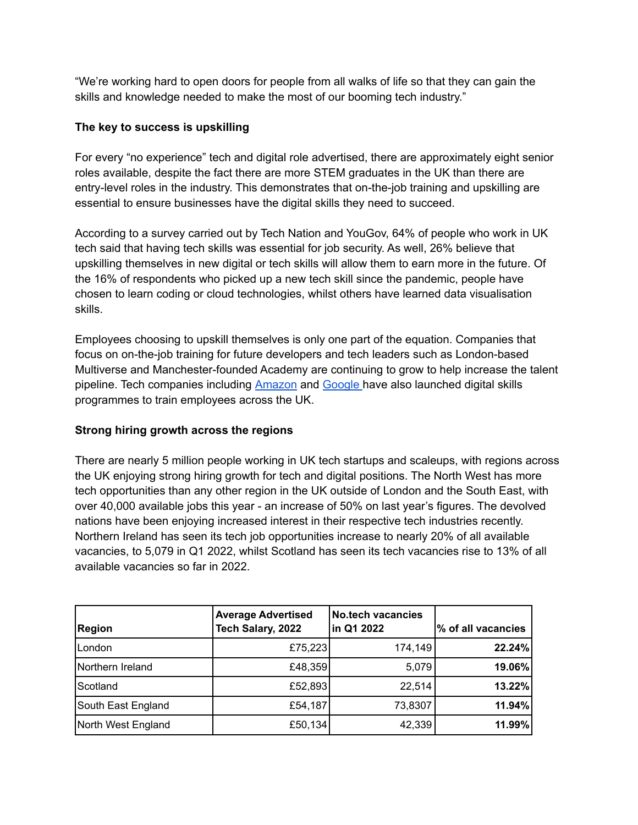"We're working hard to open doors for people from all walks of life so that they can gain the skills and knowledge needed to make the most of our booming tech industry."

## **The key to success is upskilling**

For every "no experience" tech and digital role advertised, there are approximately eight senior roles available, despite the fact there are more STEM graduates in the UK than there are entry-level roles in the industry. This demonstrates that on-the-job training and upskilling are essential to ensure businesses have the digital skills they need to succeed.

According to a survey carried out by Tech Nation and YouGov, 64% of people who work in UK tech said that having tech skills was essential for job security. As well, 26% believe that upskilling themselves in new digital or tech skills will allow them to earn more in the future. Of the 16% of respondents who picked up a new tech skill since the pandemic, people have chosen to learn coding or cloud technologies, whilst others have learned data visualisation skills.

Employees choosing to upskill themselves is only one part of the equation. Companies that focus on on-the-job training for future developers and tech leaders such as London-based Multiverse and Manchester-founded Academy are continuing to grow to help increase the talent pipeline. Tech companies including [Amazon](https://www.thenorthernecho.co.uk/news/19302625.amazon-create-thousands-new-jobs-invest-skills-training/) and [Google](https://www.itpro.co.uk/business-strategy/careers-training/367625/google-offers-uk-smbs-ps87000-scholarships-to-boost-tech) have also launched digital skills programmes to train employees across the UK.

## **Strong hiring growth across the regions**

There are nearly 5 million people working in UK tech startups and scaleups, with regions across the UK enjoying strong hiring growth for tech and digital positions. The North West has more tech opportunities than any other region in the UK outside of London and the South East, with over 40,000 available jobs this year - an increase of 50% on last year's figures. The devolved nations have been enjoying increased interest in their respective tech industries recently. Northern Ireland has seen its tech job opportunities increase to nearly 20% of all available vacancies, to 5,079 in Q1 2022, whilst Scotland has seen its tech vacancies rise to 13% of all available vacancies so far in 2022.

| <b>Region</b>      | <b>Average Advertised</b><br>Tech Salary, 2022 | <b>No.tech vacancies</b><br>in Q1 2022 | % of all vacancies |
|--------------------|------------------------------------------------|----------------------------------------|--------------------|
| lLondon            | £75,223                                        | 174,149                                | 22.24%             |
| Northern Ireland   | £48,359                                        | 5,079                                  | 19.06%             |
| Scotland           | £52,893                                        | 22,514                                 | 13.22%             |
| South East England | £54,187                                        | 73,8307                                | 11.94%             |
| North West England | £50,134                                        | 42,339                                 | 11.99%             |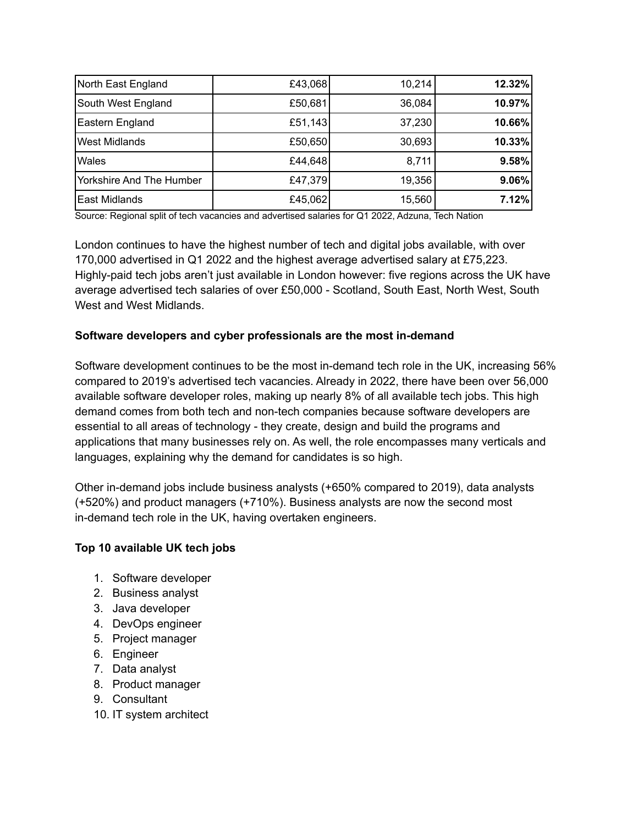| North East England       | £43,068 | 10,214 | 12.32% |
|--------------------------|---------|--------|--------|
| South West England       | £50,681 | 36,084 | 10.97% |
| Eastern England          | £51,143 | 37,230 | 10.66% |
| <b>West Midlands</b>     | £50,650 | 30,693 | 10.33% |
| <b>Wales</b>             | £44,648 | 8,711  | 9.58%  |
| Yorkshire And The Humber | £47,379 | 19,356 | 9.06%  |
| <b>East Midlands</b>     | £45,062 | 15,560 | 7.12%  |

Source: Regional split of tech vacancies and advertised salaries for Q1 2022, Adzuna, Tech Nation

London continues to have the highest number of tech and digital jobs available, with over 170,000 advertised in Q1 2022 and the highest average advertised salary at £75,223. Highly-paid tech jobs aren't just available in London however: five regions across the UK have average advertised tech salaries of over £50,000 - Scotland, South East, North West, South West and West Midlands.

#### **Software developers and cyber professionals are the most in-demand**

Software development continues to be the most in-demand tech role in the UK, increasing 56% compared to 2019's advertised tech vacancies. Already in 2022, there have been over 56,000 available software developer roles, making up nearly 8% of all available tech jobs. This high demand comes from both tech and non-tech companies because software developers are essential to all areas of technology - they create, design and build the programs and applications that many businesses rely on. As well, the role encompasses many verticals and languages, explaining why the demand for candidates is so high.

Other in-demand jobs include business analysts (+650% compared to 2019), data analysts (+520%) and product managers (+710%). Business analysts are now the second most in-demand tech role in the UK, having overtaken engineers.

## **Top 10 available UK tech jobs**

- 1. Software developer
- 2. Business analyst
- 3. Java developer
- 4. DevOps engineer
- 5. Project manager
- 6. Engineer
- 7. Data analyst
- 8. Product manager
- 9. Consultant
- 10. IT system architect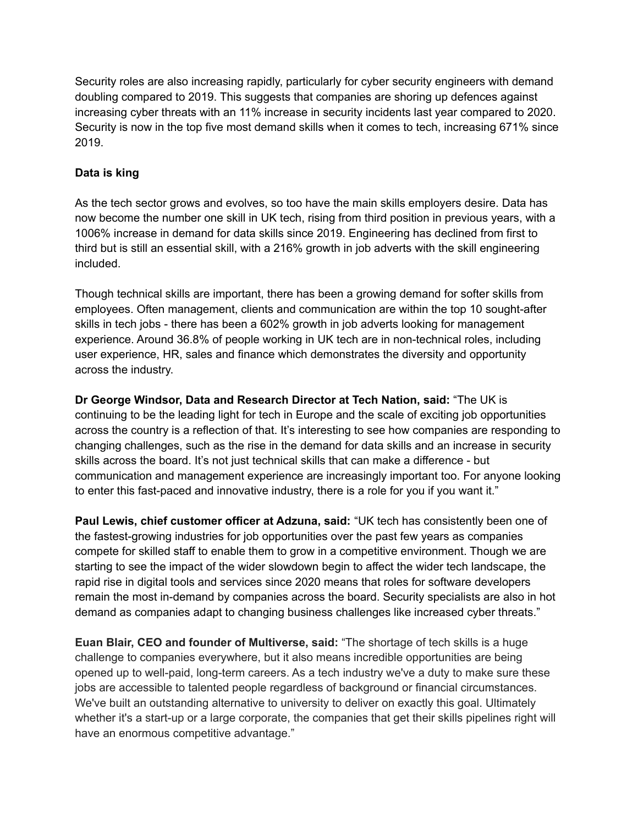Security roles are also increasing rapidly, particularly for cyber security engineers with demand doubling compared to 2019. This suggests that companies are shoring up defences against increasing cyber threats with an 11% increase in security incidents last year compared to 2020. Security is now in the top five most demand skills when it comes to tech, increasing 671% since 2019.

### **Data is king**

As the tech sector grows and evolves, so too have the main skills employers desire. Data has now become the number one skill in UK tech, rising from third position in previous years, with a 1006% increase in demand for data skills since 2019. Engineering has declined from first to third but is still an essential skill, with a 216% growth in job adverts with the skill engineering included.

Though technical skills are important, there has been a growing demand for softer skills from employees. Often management, clients and communication are within the top 10 sought-after skills in tech jobs - there has been a 602% growth in job adverts looking for management experience. Around 36.8% of people working in UK tech are in non-technical roles, including user experience, HR, sales and finance which demonstrates the diversity and opportunity across the industry.

**Dr George Windsor, Data and Research Director at Tech Nation, said:** "The UK is continuing to be the leading light for tech in Europe and the scale of exciting job opportunities across the country is a reflection of that. It's interesting to see how companies are responding to changing challenges, such as the rise in the demand for data skills and an increase in security skills across the board. It's not just technical skills that can make a difference - but communication and management experience are increasingly important too. For anyone looking to enter this fast-paced and innovative industry, there is a role for you if you want it."

**Paul Lewis, chief customer officer at Adzuna, said:** "UK tech has consistently been one of the fastest-growing industries for job opportunities over the past few years as companies compete for skilled staff to enable them to grow in a competitive environment. Though we are starting to see the impact of the wider slowdown begin to affect the wider tech landscape, the rapid rise in digital tools and services since 2020 means that roles for software developers remain the most in-demand by companies across the board. Security specialists are also in hot demand as companies adapt to changing business challenges like increased cyber threats."

**Euan Blair, CEO and founder of Multiverse, said:** "The shortage of tech skills is a huge challenge to companies everywhere, but it also means incredible opportunities are being opened up to well-paid, long-term careers. As a tech industry we've a duty to make sure these jobs are accessible to talented people regardless of background or financial circumstances. We've built an outstanding alternative to university to deliver on exactly this goal. Ultimately whether it's a start-up or a large corporate, the companies that get their skills pipelines right will have an enormous competitive advantage."